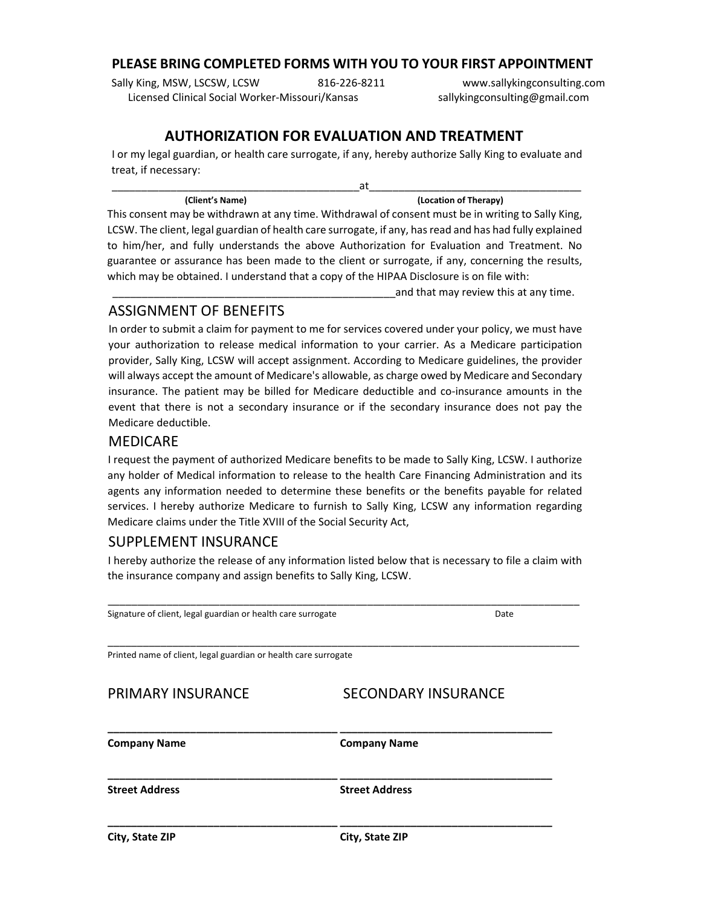#### **PLEASE BRING COMPLETED FORMS WITH YOU TO YOUR FIRST APPOINTMENT**

Sally King, MSW, LSCSW, LCSW 816-226-8211 Licensed Clinical Social Worker‐Missouri/Kansas

www.sallykingconsulting.com sallykingconsulting@gmail.com

## **AUTHORIZATION FOR EVALUATION AND TREATMENT**

I or my legal guardian, or health care surrogate, if any, hereby authorize Sally King to evaluate and treat, if necessary:

| (Client's Name) | (Location of Therapy) |
|-----------------|-----------------------|

This consent may be withdrawn at any time. Withdrawal of consent must be in writing to Sally King, LCSW. The client, legal guardian of health care surrogate, if any, hasread and has had fully explained to him/her, and fully understands the above Authorization for Evaluation and Treatment. No guarantee or assurance has been made to the client or surrogate, if any, concerning the results, which may be obtained. I understand that a copy of the HIPAA Disclosure is on file with:

and that may review this at any time.

### ASSIGNMENT OF BENEFITS

In order to submit a claim for payment to me for services covered under your policy, we must have your authorization to release medical information to your carrier. As a Medicare participation provider, Sally King, LCSW will accept assignment. According to Medicare guidelines, the provider will always accept the amount of Medicare's allowable, as charge owed by Medicare and Secondary insurance. The patient may be billed for Medicare deductible and co-insurance amounts in the event that there is not a secondary insurance or if the secondary insurance does not pay the Medicare deductible.

#### MEDICARE

I request the payment of authorized Medicare benefits to be made to Sally King, LCSW. I authorize any holder of Medical information to release to the health Care Financing Administration and its agents any information needed to determine these benefits or the benefits payable for related services. I hereby authorize Medicare to furnish to Sally King, LCSW any information regarding Medicare claims under the Title XVIII of the Social Security Act,

### SUPPLEMENT INSURANCE

I hereby authorize the release of any information listed below that is necessary to file a claim with the insurance company and assign benefits to Sally King, LCSW.

| Signature of client, legal guardian or health care surrogate    | Date                       |  |  |  |
|-----------------------------------------------------------------|----------------------------|--|--|--|
| Printed name of client, legal guardian or health care surrogate |                            |  |  |  |
| PRIMARY INSURANCE                                               | <b>SECONDARY INSURANCE</b> |  |  |  |
| <b>Company Name</b>                                             | <b>Company Name</b>        |  |  |  |
| <b>Street Address</b>                                           | <b>Street Address</b>      |  |  |  |
| City, State ZIP                                                 | City, State ZIP            |  |  |  |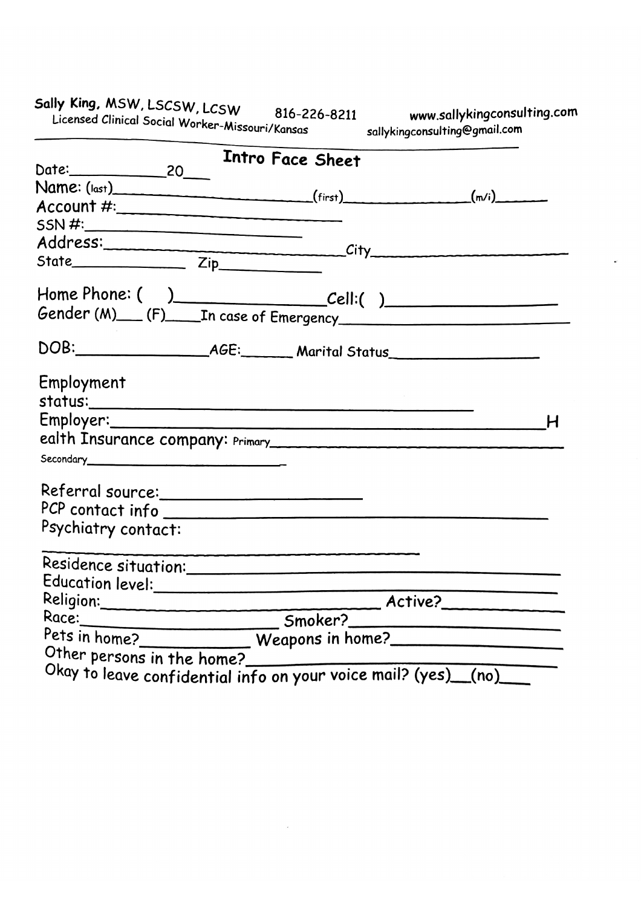www.sallykingconsulting.com<br>sallykingconsulting@gmail.com

|                                                                              |  | Intro Face Sheet |  |   |
|------------------------------------------------------------------------------|--|------------------|--|---|
| Name: $(last)$ (first) $(m/i)$ (finit)                                       |  |                  |  |   |
|                                                                              |  |                  |  |   |
| SSN #:                                                                       |  |                  |  |   |
|                                                                              |  |                  |  |   |
|                                                                              |  |                  |  |   |
|                                                                              |  |                  |  |   |
|                                                                              |  |                  |  |   |
|                                                                              |  |                  |  |   |
| Employment                                                                   |  |                  |  |   |
|                                                                              |  |                  |  |   |
|                                                                              |  |                  |  | Н |
|                                                                              |  |                  |  |   |
| Secondary                                                                    |  |                  |  |   |
| Referral source:________________________                                     |  |                  |  |   |
| PCP contact info                                                             |  |                  |  |   |
| Psychiatry contact:                                                          |  |                  |  |   |
|                                                                              |  |                  |  |   |
|                                                                              |  |                  |  |   |
|                                                                              |  |                  |  |   |
| Religion: Active?<br>Race: Smoker? Active?<br>Pets in home? Weapons in home? |  |                  |  |   |
|                                                                              |  |                  |  |   |
| Other persons in the home?                                                   |  |                  |  |   |
| Okay to leave confidential info on your voice mail? (yes) (no)               |  |                  |  |   |

Sally King, MSW, LSCSW, LCSW 816-22<br>Licensed Clinical Social Worker-Missouri/Kansas 816-226-8211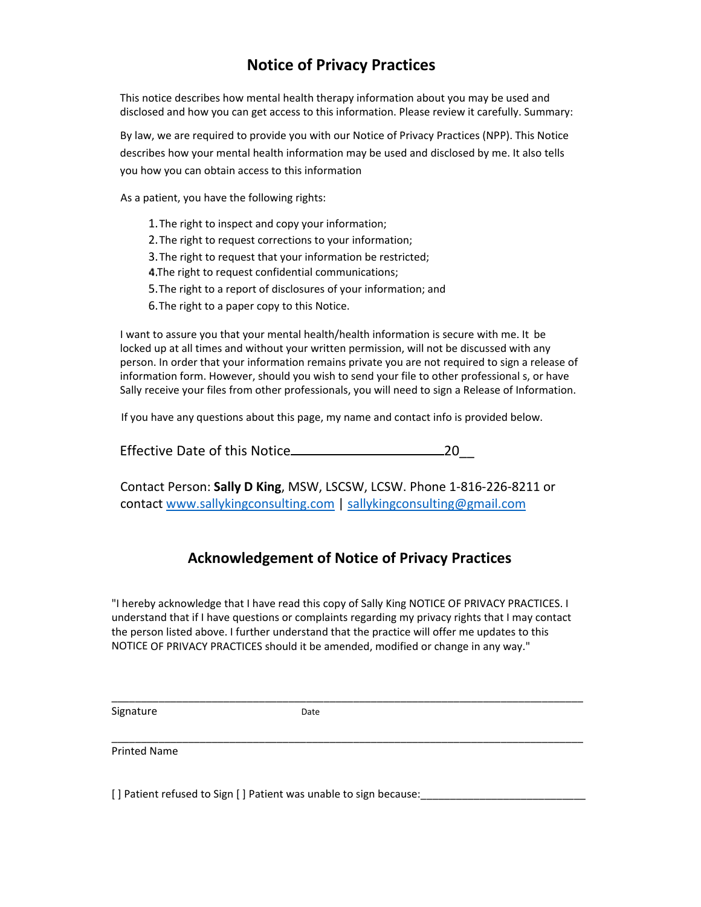# **Notice of Privacy Practices**

This notice describes how mental health therapy information about you may be used and disclosed and how you can get access to this information. Please review it carefully. Summary:

By law, we are required to provide you with our Notice of Privacy Practices (NPP). This Notice describes how your mental health information may be used and disclosed by me. It also tells you how you can obtain access to this information

As a patient, you have the following rights:

- 1.The right to inspect and copy your information;
- 2.The right to request corrections to your information;
- 3.The right to request that your information be restricted;
- 4. The right to request confidential communications;
- 5.The right to a report of disclosures of your information; and
- 6.The right to a paper copy to this Notice.

I want to assure you that your mental health/health information is secure with me. It be locked up at all times and without your written permission, will not be discussed with any person. In order that your information remains private you are not required to sign a release of information form. However, should you wish to send your file to other professional s, or have Sally receive your files from other professionals, you will need to sign a Release of Information.

If you have any questions about this page, my name and contact info is provided below.

Effective Date of this Notice 20\_\_

Contact Person: **Sally D King**, MSW, LSCSW, LCSW. Phone 1‐816‐226‐8211 or contact www.sallykingconsulting.com | sallykingconsulting@gmail.com

#### **Acknowledgement of Notice of Privacy Practices**

"I hereby acknowledge that I have read this copy of Sally King NOTICE OF PRIVACY PRACTICES. I understand that if I have questions or complaints regarding my privacy rights that I may contact the person listed above. I further understand that the practice will offer me updates to this NOTICE OF PRIVACY PRACTICES should it be amended, modified or change in any way."

\_\_\_\_\_\_\_\_\_\_\_\_\_\_\_\_\_\_\_\_\_\_\_\_\_\_\_\_\_\_\_\_\_\_\_\_\_\_\_\_\_\_\_\_\_\_\_\_\_\_\_\_\_\_\_\_\_\_\_\_\_\_\_\_\_\_\_\_\_\_\_\_\_\_\_\_\_\_\_\_

\_\_\_\_\_\_\_\_\_\_\_\_\_\_\_\_\_\_\_\_\_\_\_\_\_\_\_\_\_\_\_\_\_\_\_\_\_\_\_\_\_\_\_\_\_\_\_\_\_\_\_\_\_\_\_\_\_\_\_\_\_\_\_\_\_\_\_\_\_\_\_\_\_\_\_\_\_\_\_\_

Signature Date

Printed Name

[] Patient refused to Sign [] Patient was unable to sign because: